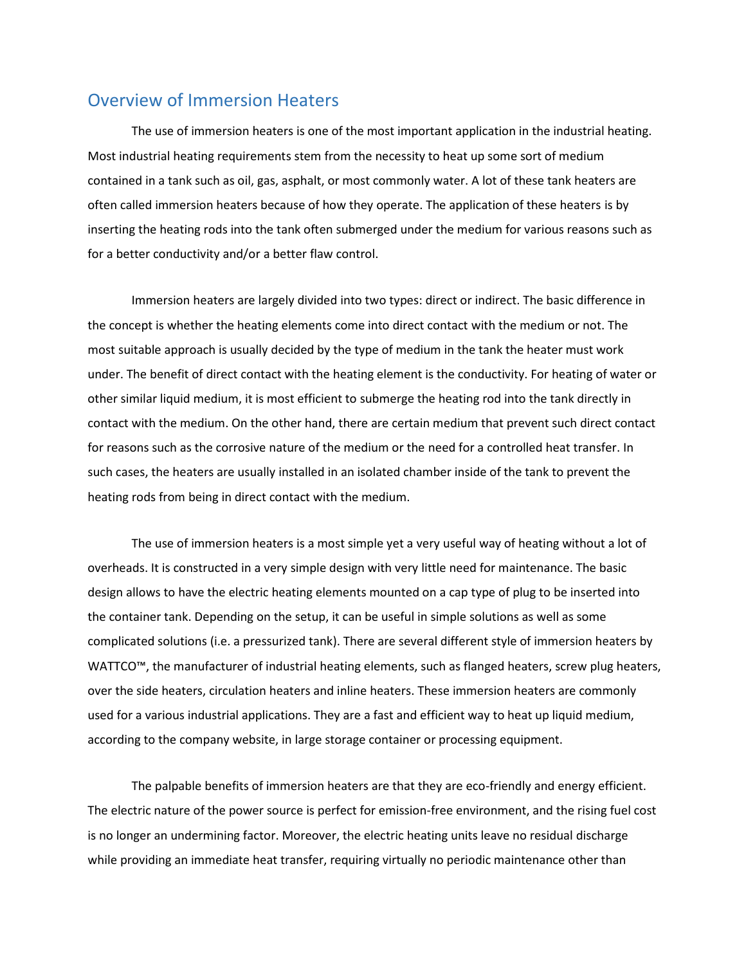## Overview of Immersion Heaters

The use of immersion heaters is one of the most important application in the industrial heating. Most industrial heating requirements stem from the necessity to heat up some sort of medium contained in a tank such as oil, gas, asphalt, or most commonly water. A lot of these tank heaters are often called immersion heaters because of how they operate. The application of these heaters is by inserting the heating rods into the tank often submerged under the medium for various reasons such as for a better conductivity and/or a better flaw control.

Immersion heaters are largely divided into two types: direct or indirect. The basic difference in the concept is whether the heating elements come into direct contact with the medium or not. The most suitable approach is usually decided by the type of medium in the tank the heater must work under. The benefit of direct contact with the heating element is the conductivity. For heating of water or other similar liquid medium, it is most efficient to submerge the heating rod into the tank directly in contact with the medium. On the other hand, there are certain medium that prevent such direct contact for reasons such as the corrosive nature of the medium or the need for a controlled heat transfer. In such cases, the heaters are usually installed in an isolated chamber inside of the tank to prevent the heating rods from being in direct contact with the medium.

The use of immersion heaters is a most simple yet a very useful way of heating without a lot of overheads. It is constructed in a very simple design with very little need for maintenance. The basic design allows to have the electric heating elements mounted on a cap type of plug to be inserted into the container tank. Depending on the setup, it can be useful in simple solutions as well as some complicated solutions (i.e. a pressurized tank). There are several different style of immersion heaters by WATTCO™, the manufacturer of industrial heating elements, such as flanged heaters, screw plug heaters, over the side heaters, circulation heaters and inline heaters. These immersion heaters are commonly used for a various industrial applications. They are a fast and efficient way to heat up liquid medium, according to the company website, in large storage container or processing equipment.

The palpable benefits of immersion heaters are that they are eco-friendly and energy efficient. The electric nature of the power source is perfect for emission-free environment, and the rising fuel cost is no longer an undermining factor. Moreover, the electric heating units leave no residual discharge while providing an immediate heat transfer, requiring virtually no periodic maintenance other than